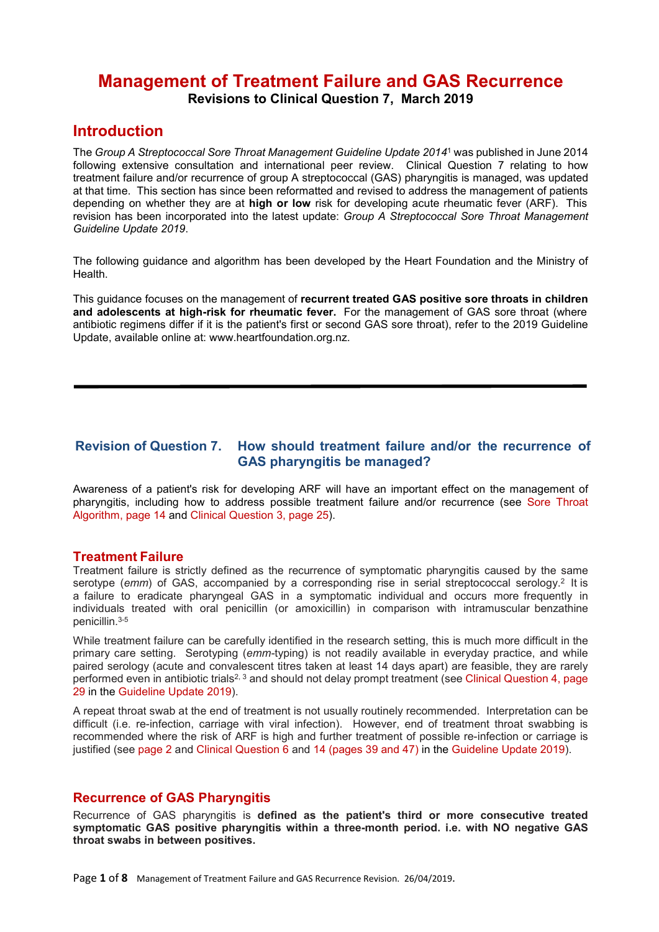# **Management of Treatment Failure and GAS Recurrence Revisions to Clinical Question 7, March 2019**

## **Introduction**

The *Group A Streptococcal Sore Throat Management Guideline Update 2014*<sup>1</sup> was published in June 2014 following extensive consultation and international peer review. Clinical Question 7 relating to how treatment failure and/or recurrence of group A streptococcal (GAS) pharyngitis is managed, was updated at that time. This section has since been reformatted and revised to address the management of patients depending on whether they are at **high or low** risk for developing acute rheumatic fever (ARF). This revision has been incorporated into the latest update: *Group A Streptococcal Sore Throat Management Guideline Update 2019*.

The following guidance and algorithm has been developed by the Heart Foundation and the Ministry of Health.

This guidance focuses on the management of **recurrent treated GAS positive sore throats in children and adolescents at high-risk for rheumatic fever.** For the management of GAS sore throat (where antibiotic regimens differ if it is the patient's first or second GAS sore throat), refer to the 2019 Guideline Update, available online at: www.heartfoundation.org.nz.

### **Revision of Question 7. How should treatment failure and/or the recurrence of GAS pharyngitis be managed?**

Awareness of a patient's risk for developing ARF will have an important effect on the management of pharyngitis, including how to address possible treatment failure and/or recurrence (see Sore Throat Algorithm, page 14 and Clinical Question 3, page 25).

### **Treatment Failure**

Treatment failure is strictly defined as the recurrence of symptomatic pharyngitis caused by the same serotype (*emm*) of GAS, accompanied by a corresponding rise in serial streptococcal serology. 2 It is a failure to eradicate pharyngeal GAS in a symptomatic individual and occurs more frequently in individuals treated with oral penicillin (or amoxicillin) in comparison with intramuscular benzathine penicillin. 3-5

While treatment failure can be carefully identified in the research setting, this is much more difficult in the primary care setting. Serotyping (*emm-*typing) is not readily available in everyday practice, and while paired serology (acute and convalescent titres taken at least 14 days apart) are feasible, they are rarely performed even in antibiotic trials<sup>2, 3</sup> and should not delay prompt treatment (see Clinical Question 4, page 29 in the Guideline Update 2019).

A repeat throat swab at the end of treatment is not usually routinely recommended. Interpretation can be difficult (i.e. re-infection, carriage with viral infection). However, end of treatment throat swabbing is recommended where the risk of ARF is high and further treatment of possible re-infection or carriage is justified (see page 2 and Clinical Question 6 and 14 (pages 39 and 47) in the Guideline Update 2019).

### **Recurrence of GAS Pharyngitis**

Recurrence of GAS pharyngitis is **defined as the patient's third or more consecutive treated symptomatic GAS positive pharyngitis within a three-month period. i.e. with NO negative GAS throat swabs in between positives.**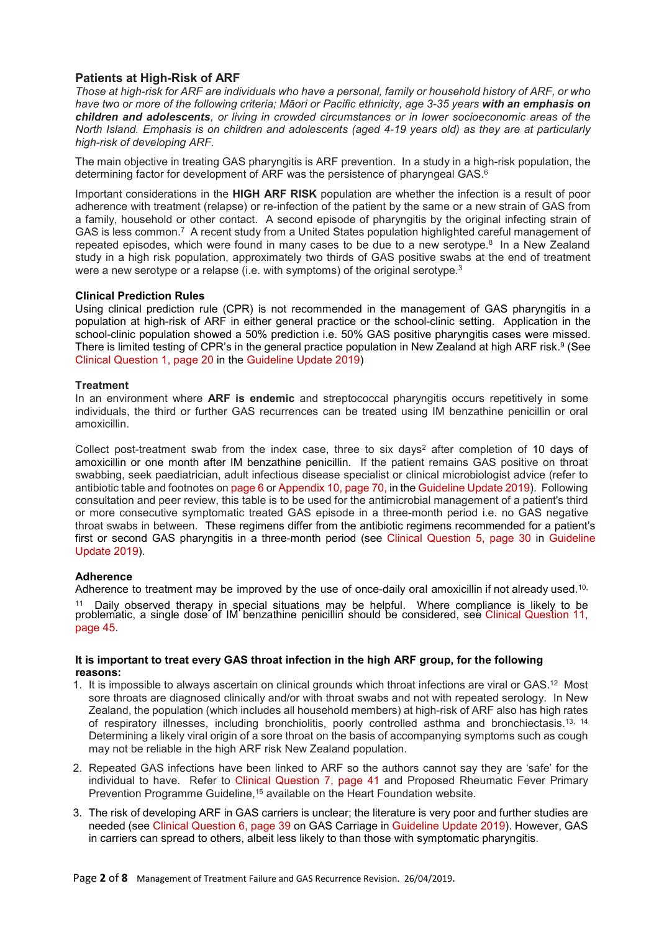### **Patients at High-Risk of ARF**

*Those at high-risk for ARF are individuals who have a personal, family or household history of ARF, or who have two or more of the following criteria; Māori or Pacific ethnicity, age 3-35 years with an emphasis on children and adolescents, or living in crowded circumstances or in lower socioeconomic areas of the North Island. Emphasis is on children and adolescents (aged 4-19 years old) as they are at particularly high-risk of developing ARF.*

The main objective in treating GAS pharyngitis is ARF prevention. In a study in a high-risk population, the determining factor for development of ARF was the persistence of pharyngeal GAS. 6

Important considerations in the **HIGH ARF RISK** population are whether the infection is a result of poor adherence with treatment (relapse) or re-infection of the patient by the same or a new strain of GAS from a family, household or other contact. A second episode of pharyngitis by the original infecting strain of GAS is less common. $\mathbf{\mathsf{7}}$  A recent study from a United States population highlighted careful management of repeated episodes, which were found in many cases to be due to a new serotype. 8 In a New Zealand study in a high risk population, approximately two thirds of GAS positive swabs at the end of treatment were a new serotype or a relapse (i.e. with symptoms) of the original serotype.<sup>3</sup>

#### **Clinical Prediction Rules**

Using clinical prediction rule (CPR) is not recommended in the management of GAS pharyngitis in a population at high-risk of ARF in either general practice or the school-clinic setting. Application in the school-clinic population showed a 50% prediction i.e. 50% GAS positive pharyngitis cases were missed. There is limited testing of CPR's in the general practice population in New Zealand at high ARF risk.<sup>9</sup> (See Clinical Question 1, page 20 in the Guideline Update 2019)

#### **Treatment**

In an environment where **ARF is endemic** and streptococcal pharyngitis occurs repetitively in some individuals, the third or further GAS recurrences can be treated using IM benzathine penicillin or oral amoxicillin.

Collect post-treatment swab from the index case, three to six days<sup>2</sup> after completion of 10 days of amoxicillin or one month after IM benzathine penicillin. If the patient remains GAS positive on throat swabbing, seek paediatrician, adult infectious disease specialist or clinical microbiologist advice (refer to antibiotic table and footnotes on page 6 or Appendix 10, page 70, in the Guideline Update 2019). Following consultation and peer review, this table is to be used for the antimicrobial management of a patient's third or more consecutive symptomatic treated GAS episode in a three-month period i.e. no GAS negative throat swabs in between. These regimens differ from the antibiotic regimens recommended for a patient's first or second GAS pharyngitis in a three-month period (see Clinical Question 5, page 30 in Guideline Update 2019).

### **Adherence**

Adherence to treatment may be improved by the use of once-daily oral amoxicillin if not already used. $^{10}$ <sup>11</sup> Daily observed therapy in special situations may be helpful. Where compliance is likely to be problematic, a single dose of IM benzathine penicillin should be considered, see Clinical Question 11, page 45.

#### **It is important to treat every GAS throat infection in the high ARF group, for the following reasons:**

- 1. It is impossible to always ascertain on clinical grounds which throat infections are viral or GAS. 12 Most sore throats are diagnosed clinically and/or with throat swabs and not with repeated serology. In New Zealand, the population (which includes all household members) at high-risk of ARF also has high rates of respiratory illnesses, including bronchiolitis, poorly controlled asthma and bronchiectasis.<sup>13, 14</sup> Determining a likely viral origin of a sore throat on the basis of accompanying symptoms such as cough may not be reliable in the high ARF risk New Zealand population.
- 2. Repeated GAS infections have been linked to ARF so the authors cannot say they are 'safe' for the individual to have. Refer to Clinical Question 7, page 41 and Proposed Rheumatic Fever Primary Prevention Programme Guideline,<sup>15</sup> available on the Heart Foundation website.
- 3. The risk of developing ARF in GAS carriers is unclear; the literature is very poor and further studies are needed (see Clinical Question 6, page 39 on GAS Carriage in Guideline Update 2019). However, GAS in carriers can spread to others, albeit less likely to than those with symptomatic pharyngitis.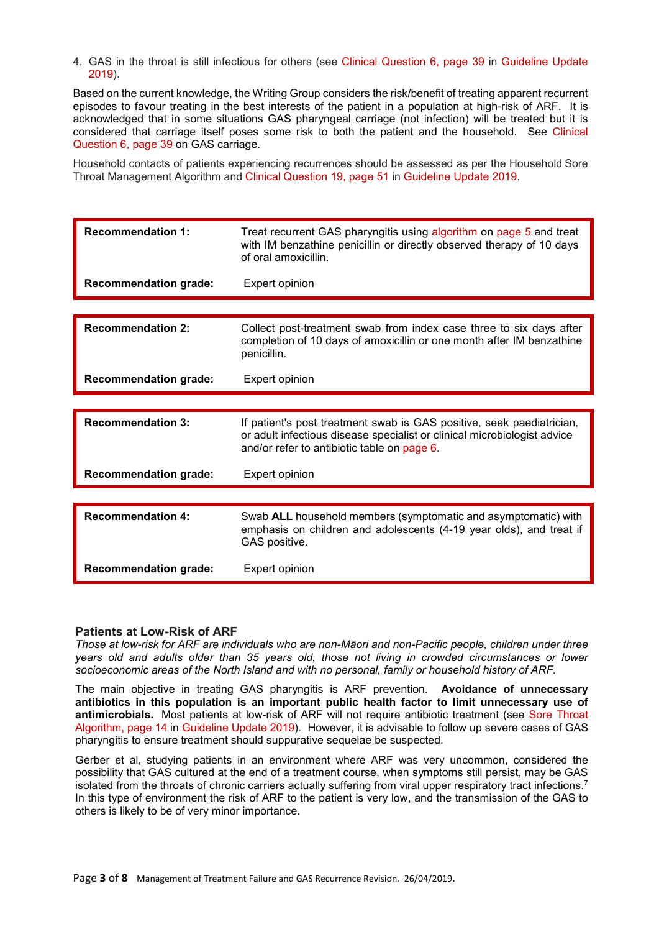4. GAS in the throat is still infectious for others (see Clinical Question 6, page 39 in Guideline Update 2019).

Based on the current knowledge, the Writing Group considers the risk/benefit of treating apparent recurrent episodes to favour treating in the best interests of the patient in a population at high-risk of ARF. It is acknowledged that in some situations GAS pharyngeal carriage (not infection) will be treated but it is considered that carriage itself poses some risk to both the patient and the household. See Clinical Question 6, page 39 on GAS carriage.

Household contacts of patients experiencing recurrences should be assessed as per the Household Sore Throat Management Algorithm and Clinical Question 19, page 51 in Guideline Update 2019.

| <b>Recommendation 1:</b>     | Treat recurrent GAS pharyngitis using algorithm on page 5 and treat<br>with IM benzathine penicillin or directly observed therapy of 10 days<br>of oral amoxicillin.                             |  |  |  |
|------------------------------|--------------------------------------------------------------------------------------------------------------------------------------------------------------------------------------------------|--|--|--|
| <b>Recommendation grade:</b> | Expert opinion                                                                                                                                                                                   |  |  |  |
|                              |                                                                                                                                                                                                  |  |  |  |
| <b>Recommendation 2:</b>     | Collect post-treatment swab from index case three to six days after<br>completion of 10 days of amoxicillin or one month after IM benzathine<br>penicillin.                                      |  |  |  |
| <b>Recommendation grade:</b> | Expert opinion                                                                                                                                                                                   |  |  |  |
|                              |                                                                                                                                                                                                  |  |  |  |
| <b>Recommendation 3:</b>     | If patient's post treatment swab is GAS positive, seek paediatrician,<br>or adult infectious disease specialist or clinical microbiologist advice<br>and/or refer to antibiotic table on page 6. |  |  |  |
| <b>Recommendation grade:</b> | Expert opinion                                                                                                                                                                                   |  |  |  |
|                              |                                                                                                                                                                                                  |  |  |  |
| <b>Recommendation 4:</b>     | Swab ALL household members (symptomatic and asymptomatic) with<br>emphasis on children and adolescents (4-19 year olds), and treat if<br>GAS positive.                                           |  |  |  |
| <b>Recommendation grade:</b> | Expert opinion                                                                                                                                                                                   |  |  |  |

### **Patients at Low-Risk of ARF**

*Those at low-risk for ARF are individuals who are non-Māori and non-Pacific people, children under three years old and adults older than 35 years old, those not living in crowded circumstances or lower socioeconomic areas of the North Island and with no personal, family or household history of ARF.*

The main objective in treating GAS pharyngitis is ARF prevention. **Avoidance of unnecessary antibiotics in this population is an important public health factor to limit unnecessary use of antimicrobials.** Most patients at low-risk of ARF will not require antibiotic treatment (see Sore Throat Algorithm, page 14 in Guideline Update 2019). However, it is advisable to follow up severe cases of GAS pharyngitis to ensure treatment should suppurative sequelae be suspected.

Gerber et al, studying patients in an environment where ARF was very uncommon, considered the possibility that GAS cultured at the end of a treatment course, when symptoms still persist, may be GAS isolated from the throats of chronic carriers actually suffering from viral upper respiratory tract infections.<sup>7</sup> In this type of environment the risk of ARF to the patient is very low, and the transmission of the GAS to others is likely to be of very minor importance.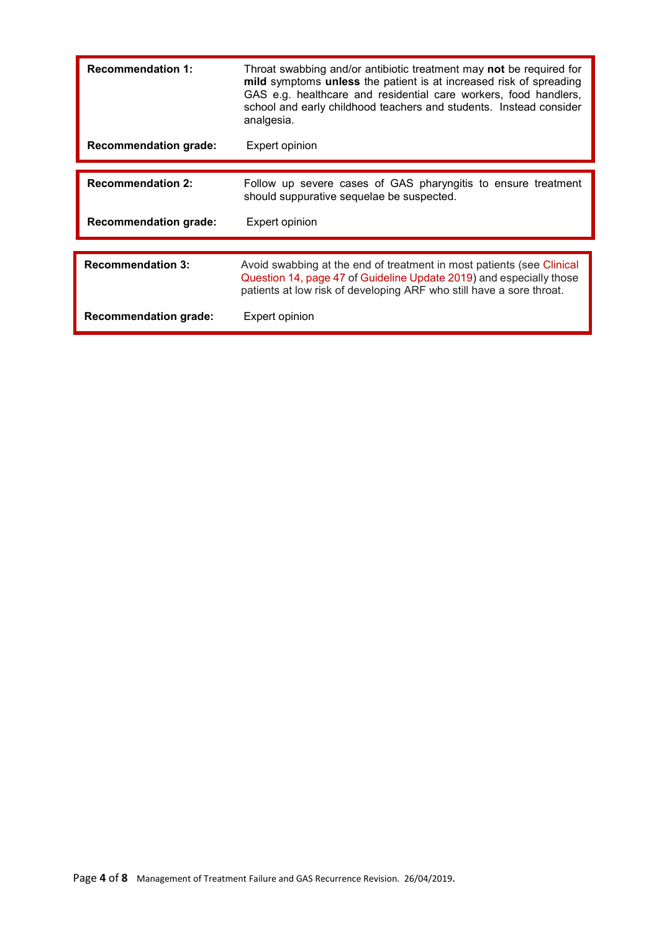| <b>Recommendation 1:</b>     | Throat swabbing and/or antibiotic treatment may not be required for<br>mild symptoms unless the patient is at increased risk of spreading<br>GAS e.g. healthcare and residential care workers, food handlers,<br>school and early childhood teachers and students. Instead consider<br>analgesia. |  |  |  |  |
|------------------------------|---------------------------------------------------------------------------------------------------------------------------------------------------------------------------------------------------------------------------------------------------------------------------------------------------|--|--|--|--|
| <b>Recommendation grade:</b> | Expert opinion                                                                                                                                                                                                                                                                                    |  |  |  |  |
|                              |                                                                                                                                                                                                                                                                                                   |  |  |  |  |
| <b>Recommendation 2:</b>     | Follow up severe cases of GAS pharyngitis to ensure treatment<br>should suppurative sequelae be suspected.                                                                                                                                                                                        |  |  |  |  |
| <b>Recommendation grade:</b> | Expert opinion                                                                                                                                                                                                                                                                                    |  |  |  |  |
|                              |                                                                                                                                                                                                                                                                                                   |  |  |  |  |
| <b>Recommendation 3:</b>     | Avoid swabbing at the end of treatment in most patients (see Clinical<br>Question 14, page 47 of Guideline Update 2019) and especially those<br>patients at low risk of developing ARF who still have a sore throat.                                                                              |  |  |  |  |
| <b>Recommendation grade:</b> | Expert opinion                                                                                                                                                                                                                                                                                    |  |  |  |  |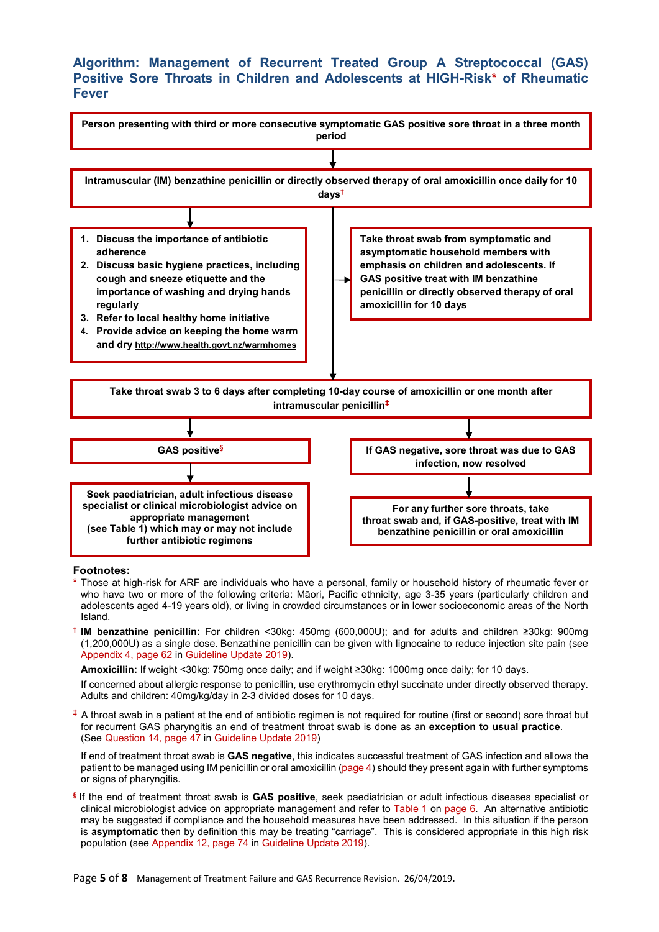## **Algorithm: Management of Recurrent Treated Group A Streptococcal (GAS) Positive Sore Throats in Children and Adolescents at HIGH-Risk\* of Rheumatic Fever**



#### **Footnotes:**

- **\*** Those at high-risk for ARF are individuals who have a personal, family or household history of rheumatic fever or who have two or more of the following criteria: Māori, Pacific ethnicity, age 3-35 years (particularly children and adolescents aged 4-19 years old), or living in crowded circumstances or in lower socioeconomic areas of the North Island.
- **† IM benzathine penicillin:** For children <30kg: 450mg (600,000U); and for adults and children ≥30kg: 900mg (1,200,000U) as a single dose. Benzathine penicillin can be given with lignocaine to reduce injection site pain (see Appendix 4, page 62 in Guideline Update 2019).

**Amoxicillin:** If weight <30kg: 750mg once daily; and if weight ≥30kg: 1000mg once daily; for 10 days.

If concerned about allergic response to penicillin, use erythromycin ethyl succinate under directly observed therapy. Adults and children: 40mg/kg/day in 2-3 divided doses for 10 days.

**‡** A throat swab in a patient at the end of antibiotic regimen is not required for routine (first or second) sore throat but for recurrent GAS pharyngitis an end of treatment throat swab is done as an **exception to usual practice**. (See Question 14, page 47 in Guideline Update 2019)

If end of treatment throat swab is **GAS negative**, this indicates successful treatment of GAS infection and allows the patient to be managed using IM penicillin or oral amoxicillin (page 4) should they present again with further symptoms or signs of pharyngitis.

**§** If the end of treatment throat swab is **GAS positive**, seek paediatrician or adult infectious diseases specialist or clinical microbiologist advice on appropriate management and refer to Table 1 on page 6. An alternative antibiotic may be suggested if compliance and the household measures have been addressed. In this situation if the person is **asymptomatic** then by definition this may be treating "carriage". This is considered appropriate in this high risk population (see Appendix 12, page 74 in Guideline Update 2019).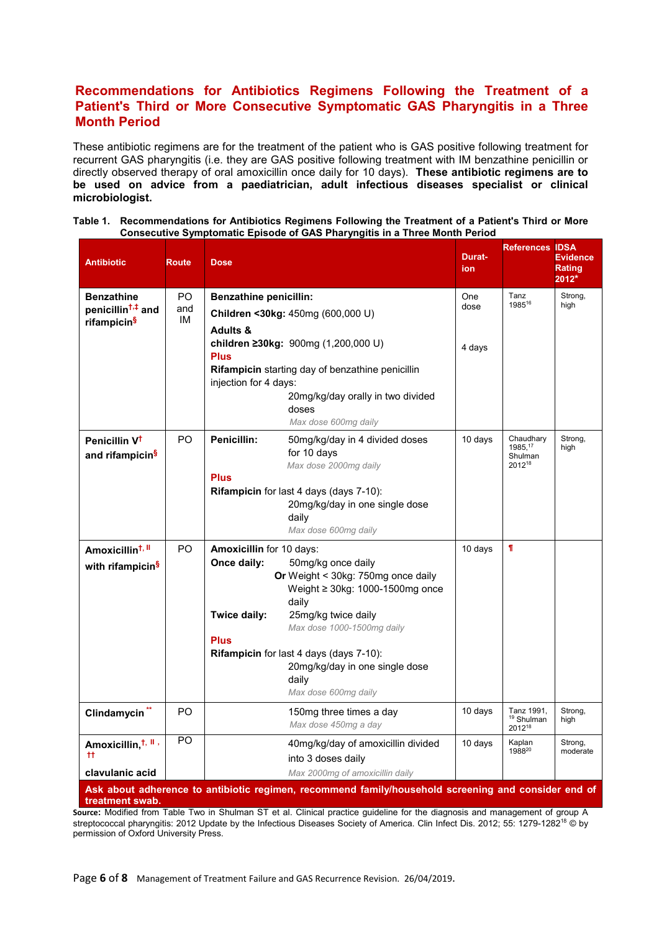## **Recommendations for Antibiotics Regimens Following the Treatment of a Patient's Third or More Consecutive Symptomatic GAS Pharyngitis in a Three Month Period**

These antibiotic regimens are for the treatment of the patient who is GAS positive following treatment for recurrent GAS pharyngitis (i.e. they are GAS positive following treatment with IM benzathine penicillin or directly observed therapy of oral amoxicillin once daily for 10 days). **These antibiotic regimens are to be used on advice from a paediatrician, adult infectious diseases specialist or clinical microbiologist.**

| Table 1. | Recommendations for Antibiotics Regimens Following the Treatment of a Patient's Third or More |  |  |  |  |  |  |
|----------|-----------------------------------------------------------------------------------------------|--|--|--|--|--|--|
|          | Consecutive Symptomatic Episode of GAS Pharyngitis in a Three Month Period                    |  |  |  |  |  |  |

| <b>Antibiotic</b>                                                             | <b>Route</b>     | <b>Dose</b>                                                            |                                                                                                                                                                                                                                                                              | <b>Durat-</b><br>ion | <b>References</b>                                      | <b>IDSA</b><br><b>Evidence</b><br>Rating<br>$2012*$ |
|-------------------------------------------------------------------------------|------------------|------------------------------------------------------------------------|------------------------------------------------------------------------------------------------------------------------------------------------------------------------------------------------------------------------------------------------------------------------------|----------------------|--------------------------------------------------------|-----------------------------------------------------|
| <b>Benzathine</b><br>penicillin <sup>t,‡</sup> and<br>rifampicin <sup>§</sup> | PO.<br>and<br>IМ | <b>Benzathine penicillin:</b><br>Children <30kg: 450mg (600,000 U)     |                                                                                                                                                                                                                                                                              | One<br>dose          | Tanz<br>198516                                         | Strong,<br>high                                     |
|                                                                               |                  | <b>Adults &amp;</b><br><b>Plus</b><br>injection for 4 days:            | children ≥30kg: 900mg (1,200,000 U)<br>Rifampicin starting day of benzathine penicillin<br>20mg/kg/day orally in two divided<br>doses<br>Max dose 600mg daily                                                                                                                | 4 days               |                                                        |                                                     |
| Penicillin V <sup>t</sup><br>and rifampicin <sup>§</sup>                      | P <sub>O</sub>   | Penicillin:<br><b>Plus</b>                                             | 50mg/kg/day in 4 divided doses<br>for 10 days<br>Max dose 2000mg daily<br>Rifampicin for last 4 days (days 7-10):<br>20mg/kg/day in one single dose<br>daily<br>Max dose 600mg daily                                                                                         | 10 days              | Chaudhary<br>1985, 17<br>Shulman<br>2012 <sup>18</sup> | Strong,<br>high                                     |
| Amoxicillin <sup>t, II</sup><br>with rifampicin <sup>§</sup>                  | P <sub>O</sub>   | Amoxicillin for 10 days:<br>Once daily:<br>Twice daily:<br><b>Plus</b> | 50mg/kg once daily<br>Or Weight < 30kg: 750mg once daily<br>Weight $\geq$ 30kg: 1000-1500mg once<br>daily<br>25mg/kg twice daily<br>Max dose 1000-1500mg daily<br>Rifampicin for last 4 days (days 7-10):<br>20mg/kg/day in one single dose<br>daily<br>Max dose 600mg daily | 10 days              | $\mathbf T$                                            |                                                     |
| Clindamycin <sup>**</sup>                                                     | PO.              |                                                                        | 150mg three times a day<br>Max dose 450mg a day                                                                                                                                                                                                                              | 10 days              | Tanz 1991.<br><sup>19</sup> Shulman<br>201218          | Strong,<br>high                                     |
| Amoxicillin, <sup>t, ll</sup> ,<br>$^{\rm ++}$                                | P <sub>O</sub>   |                                                                        | 40mg/kg/day of amoxicillin divided<br>into 3 doses daily                                                                                                                                                                                                                     | 10 days              | Kaplan<br>198820                                       | Strong,<br>moderate                                 |
| clavulanic acid                                                               |                  |                                                                        | Max 2000mg of amoxicillin daily<br>Ask about adherence to antibiotic regimen, recommend family/household screening and consider end of                                                                                                                                       |                      |                                                        |                                                     |

**treatment swab.**

**Source:** Modified from Table Two in Shulman ST et al. Clinical practice guideline for the diagnosis and management of group A streptococcal pharyngitis: 2012 Update by the Infectious Diseases Society of America. Clin Infect Dis. 2012; 55: 1279-1282<sup>18</sup> © by permission of Oxford University Press.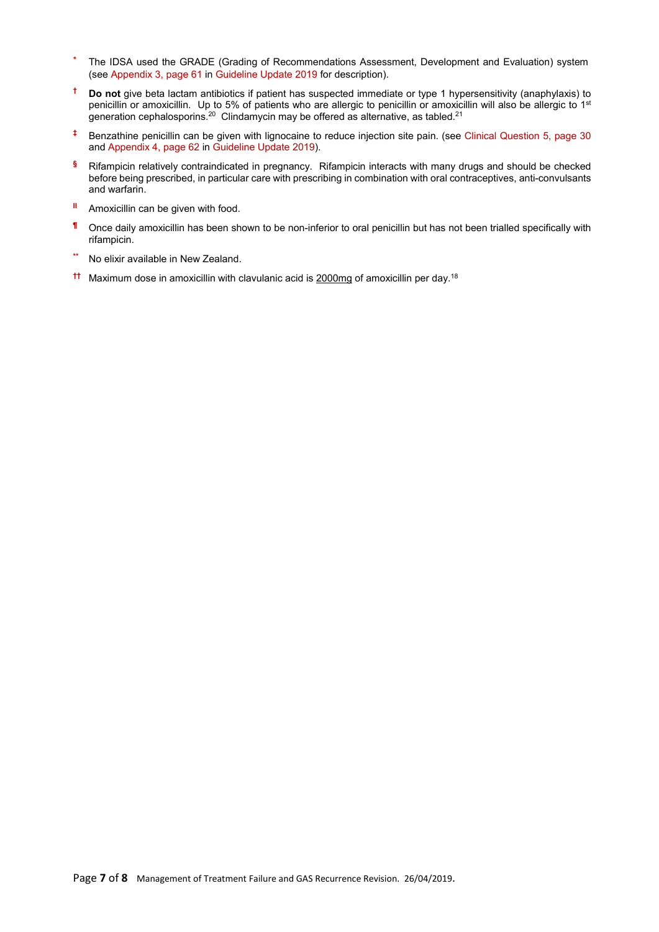- **\*** The IDSA used the GRADE (Grading of Recommendations Assessment, Development and Evaluation) system (see Appendix 3, page 61 in Guideline Update 2019 for description).
- **† Do not** give beta lactam antibiotics if patient has suspected immediate or type 1 hypersensitivity (anaphylaxis) to penicillin or amoxicillin. Up to 5% of patients who are allergic to penicillin or amoxicillin will also be allergic to 1<sup>st</sup> generation cephalosporins.<sup>20</sup> Clindamycin may be offered as alternative, as tabled.<sup>21</sup>
- **‡** Benzathine penicillin can be given with lignocaine to reduce injection site pain. (see Clinical Question 5, page 30 and Appendix 4, page 62 in Guideline Update 2019).
- **§** Rifampicin relatively contraindicated in pregnancy. Rifampicin interacts with many drugs and should be checked before being prescribed, in particular care with prescribing in combination with oral contraceptives, anti-convulsants and warfarin.
- **II** Amoxicillin can be given with food.
- **¶** Once daily amoxicillin has been shown to be non-inferior to oral penicillin but has not been trialled specifically with rifampicin.
- **\*\*** No elixir available in New Zealand.
- **††** Maximum dose in amoxicillin with clavulanic acid is 2000mg of amoxicillin per day.18